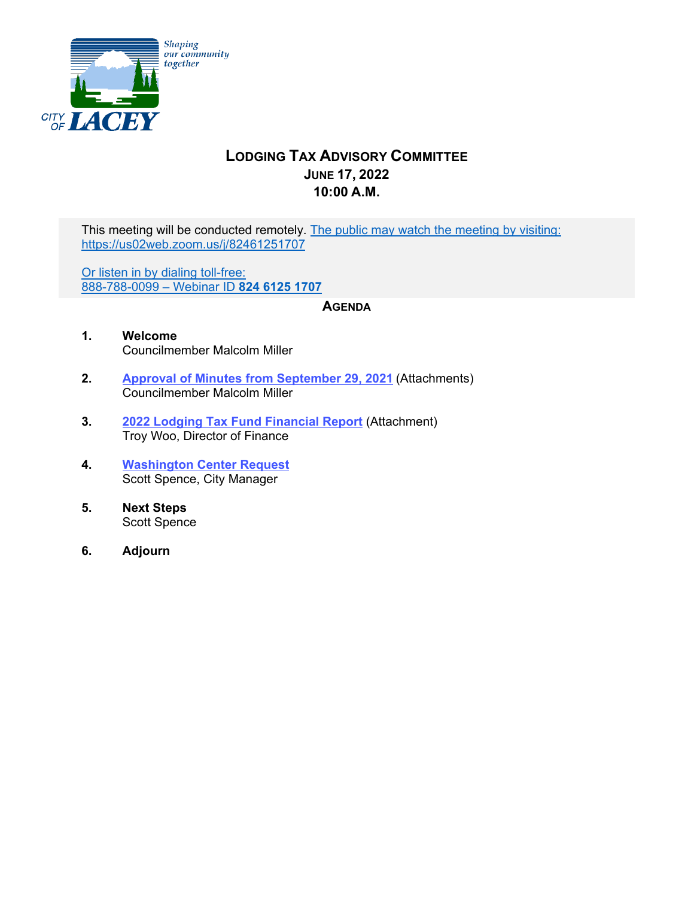

# **LODGING TAX ADVISORY COMMITTEE JUNE 17, 2022 10:00 A.M.**

This meeting will be conducted remotely. The public may watch the meeting by visiting: https://us02web.zoom.us/j/82461251707

Or listen in by dialing toll-free: 888-788-0099 – Webinar ID **824 6125 1707** 

#### **AGENDA**

- **1. Welcome** Councilmember Malcolm Miller
- **2. [Approval of Minutes from September 29, 2021](#page-1-0)** (Attachments) Councilmember Malcolm Miller
- **3. [2022 Lodging Tax Fund Financial](#page-4-0) Report** (Attachment) Troy Woo, Director of Finance
- **4. [Washington Center Request](#page-5-0)** Scott Spence, City Manager
- **5. Next Steps** Scott Spence
- **6. Adjourn**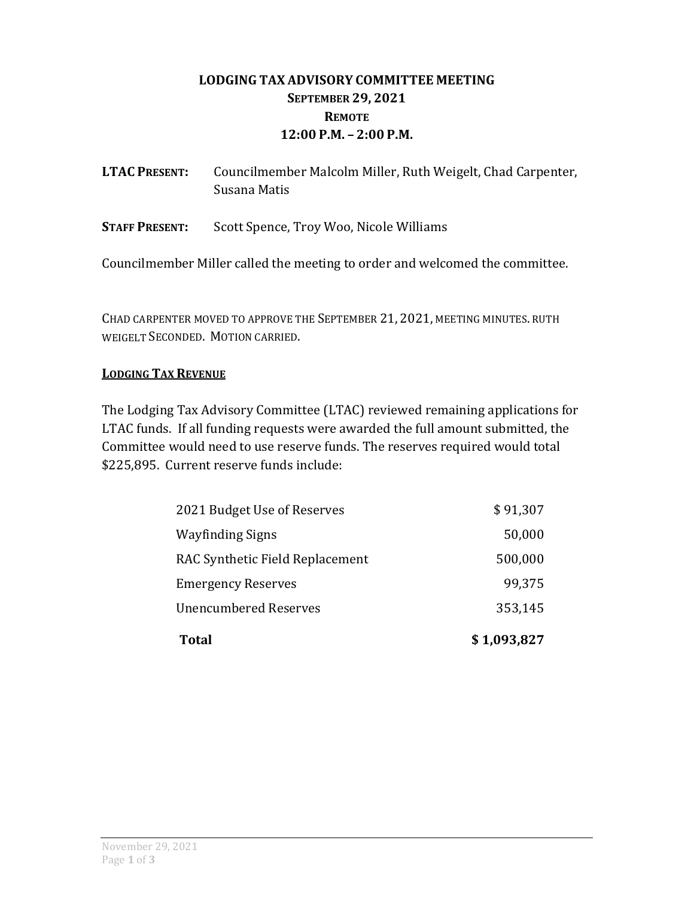# **LODGING TAX ADVISORY COMMITTEE MEETING SEPTEMBER 29, 2021 REMOTE 12:00 P.M. – 2:00 P.M.**

<span id="page-1-0"></span>

| <b>LTAC PRESENT:</b> | Councilmember Malcolm Miller, Ruth Weigelt, Chad Carpenter, |
|----------------------|-------------------------------------------------------------|
|                      | Susana Matis                                                |
|                      |                                                             |

**STAFF PRESENT:**  Scott Spence, Troy Woo, Nicole Williams

Councilmember Miller called the meeting to order and welcomed the committee.

CHAD CARPENTER MOVED TO APPROVE THE SEPTEMBER 21, 2021, MEETING MINUTES. RUTH WEIGELT SECONDED. MOTION CARRIED.

### **LODGING TAX REVENUE**

The Lodging Tax Advisory Committee (LTAC) reviewed remaining applications for LTAC funds. If all funding requests were awarded the full amount submitted, the Committee would need to use reserve funds. The reserves required would total \$225,895. Current reserve funds include:

| <b>Total</b>                    | \$1,093,827 |
|---------------------------------|-------------|
| <b>Unencumbered Reserves</b>    | 353,145     |
| <b>Emergency Reserves</b>       | 99,375      |
| RAC Synthetic Field Replacement | 500,000     |
| <b>Wayfinding Signs</b>         | 50,000      |
| 2021 Budget Use of Reserves     | \$91,307    |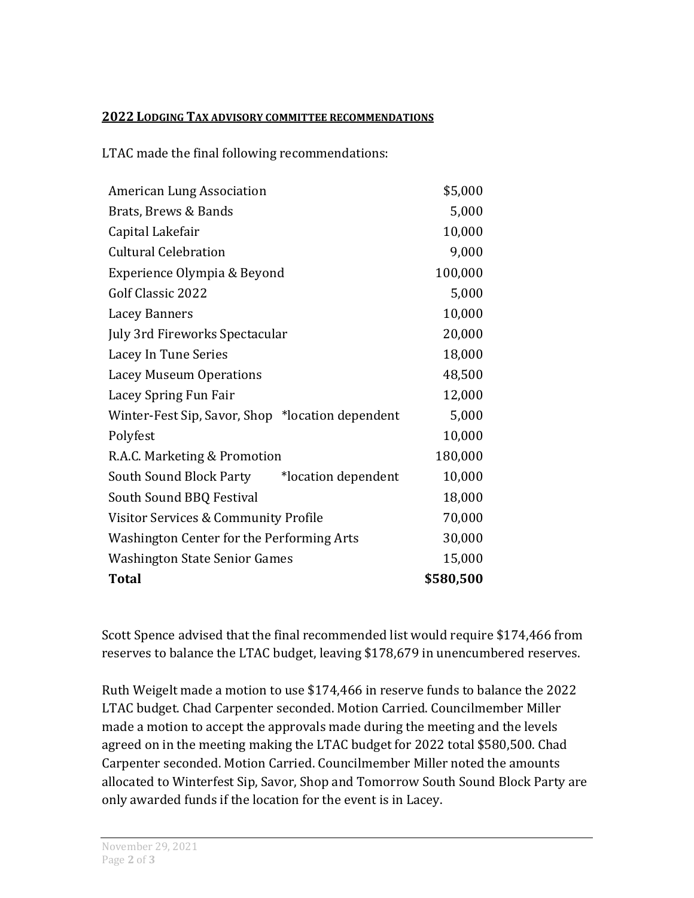#### **2022 LODGING TAX ADVISORY COMMITTEE RECOMMENDATIONS**

LTAC made the final following recommendations:

| <b>American Lung Association</b>                 | \$5,000   |
|--------------------------------------------------|-----------|
| Brats, Brews & Bands                             | 5,000     |
| Capital Lakefair                                 | 10,000    |
| <b>Cultural Celebration</b>                      | 9,000     |
| Experience Olympia & Beyond                      | 100,000   |
| Golf Classic 2022                                | 5,000     |
| Lacey Banners                                    | 10,000    |
| July 3rd Fireworks Spectacular                   | 20,000    |
| Lacey In Tune Series                             | 18,000    |
| <b>Lacey Museum Operations</b>                   | 48,500    |
| Lacey Spring Fun Fair                            | 12,000    |
| Winter-Fest Sip, Savor, Shop *location dependent | 5,000     |
| Polyfest                                         | 10,000    |
| R.A.C. Marketing & Promotion                     | 180,000   |
| *location dependent<br>South Sound Block Party   | 10,000    |
| South Sound BBQ Festival                         | 18,000    |
| Visitor Services & Community Profile             | 70,000    |
| Washington Center for the Performing Arts        | 30,000    |
| <b>Washington State Senior Games</b>             | 15,000    |
| <b>Total</b>                                     | \$580,500 |

Scott Spence advised that the final recommended list would require \$174,466 from reserves to balance the LTAC budget, leaving \$178,679 in unencumbered reserves.

Ruth Weigelt made a motion to use \$174,466 in reserve funds to balance the 2022 LTAC budget. Chad Carpenter seconded. Motion Carried. Councilmember Miller made a motion to accept the approvals made during the meeting and the levels agreed on in the meeting making the LTAC budget for 2022 total \$580,500. Chad Carpenter seconded. Motion Carried. Councilmember Miller noted the amounts allocated to Winterfest Sip, Savor, Shop and Tomorrow South Sound Block Party are only awarded funds if the location for the event is in Lacey.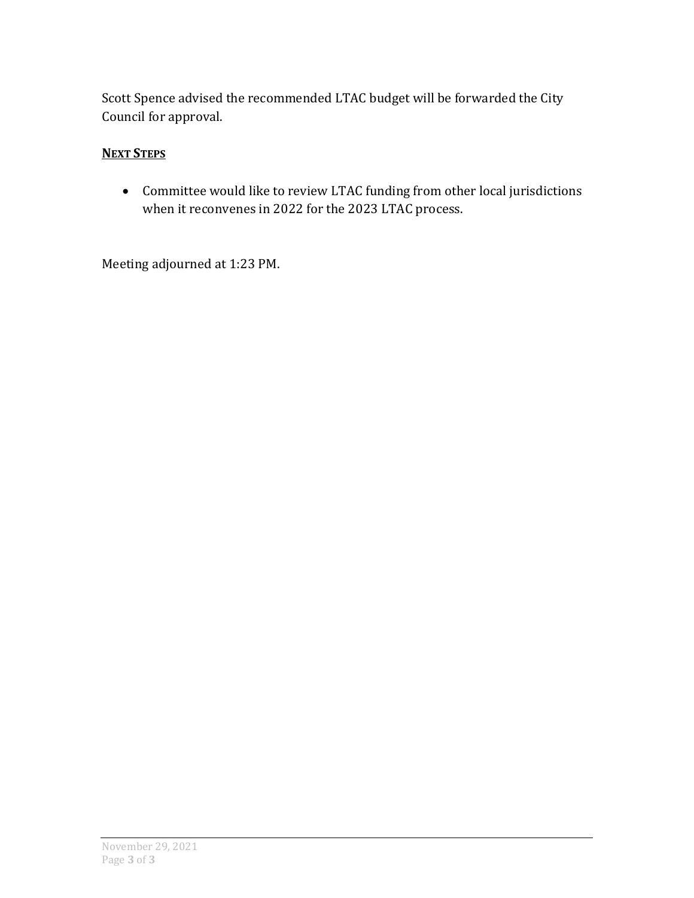Scott Spence advised the recommended LTAC budget will be forwarded the City Council for approval.

## **NEXT STEPS**

 Committee would like to review LTAC funding from other local jurisdictions when it reconvenes in 2022 for the 2023 LTAC process.

Meeting adjourned at 1:23 PM.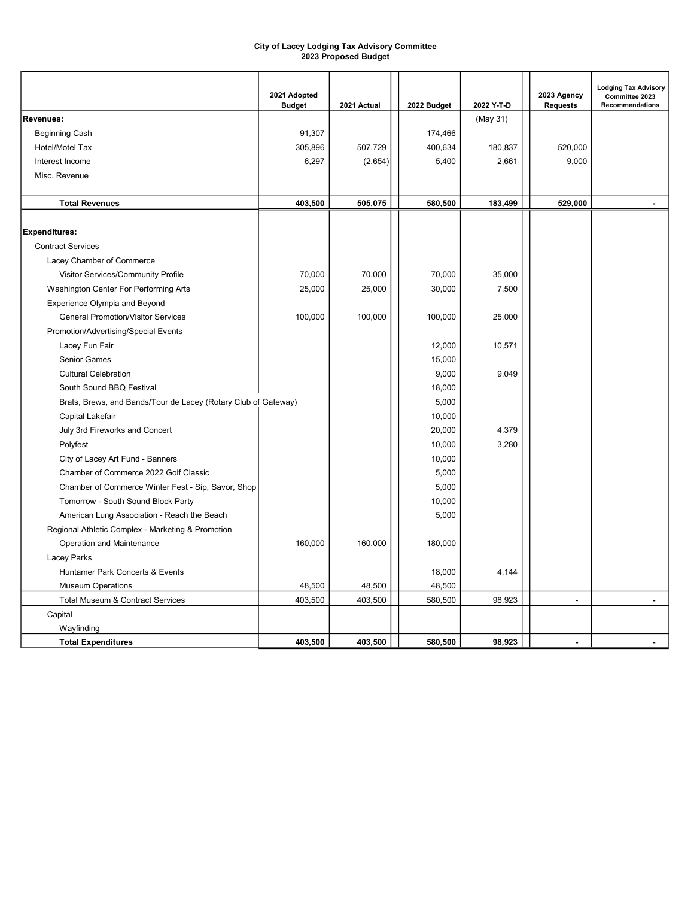#### City of Lacey Lodging Tax Advisory Committee 2023 Proposed Budget

<span id="page-4-0"></span>

|                                                                | 2021 Adopted<br><b>Budget</b> | 2021 Actual | 2022 Budget | 2022 Y-T-D | 2023 Agency<br><b>Requests</b> | <b>Lodging Tax Advisory</b><br>Committee 2023<br><b>Recommendations</b> |
|----------------------------------------------------------------|-------------------------------|-------------|-------------|------------|--------------------------------|-------------------------------------------------------------------------|
| <b>Revenues:</b>                                               |                               |             |             | (May 31)   |                                |                                                                         |
| <b>Beginning Cash</b>                                          | 91,307                        |             | 174,466     |            |                                |                                                                         |
| Hotel/Motel Tax                                                | 305,896                       | 507,729     | 400,634     | 180,837    | 520,000                        |                                                                         |
| Interest Income                                                | 6,297                         | (2,654)     | 5,400       | 2,661      | 9,000                          |                                                                         |
| Misc. Revenue                                                  |                               |             |             |            |                                |                                                                         |
|                                                                |                               |             |             |            |                                |                                                                         |
| <b>Total Revenues</b>                                          | 403,500                       | 505,075     | 580,500     | 183,499    | 529,000                        |                                                                         |
|                                                                |                               |             |             |            |                                |                                                                         |
| <b>Expenditures:</b>                                           |                               |             |             |            |                                |                                                                         |
| <b>Contract Services</b>                                       |                               |             |             |            |                                |                                                                         |
| Lacey Chamber of Commerce                                      |                               |             |             |            |                                |                                                                         |
| Visitor Services/Community Profile                             | 70,000                        | 70,000      | 70,000      | 35,000     |                                |                                                                         |
| Washington Center For Performing Arts                          | 25,000                        | 25,000      | 30,000      | 7,500      |                                |                                                                         |
| Experience Olympia and Beyond                                  |                               |             |             |            |                                |                                                                         |
| <b>General Promotion/Visitor Services</b>                      | 100,000                       | 100,000     | 100,000     | 25,000     |                                |                                                                         |
| Promotion/Advertising/Special Events                           |                               |             |             |            |                                |                                                                         |
| Lacey Fun Fair                                                 |                               |             | 12,000      | 10,571     |                                |                                                                         |
| <b>Senior Games</b>                                            |                               |             | 15,000      |            |                                |                                                                         |
| <b>Cultural Celebration</b>                                    |                               |             | 9,000       | 9,049      |                                |                                                                         |
| South Sound BBQ Festival                                       |                               |             | 18,000      |            |                                |                                                                         |
| Brats, Brews, and Bands/Tour de Lacey (Rotary Club of Gateway) |                               |             | 5,000       |            |                                |                                                                         |
| Capital Lakefair                                               |                               |             | 10,000      |            |                                |                                                                         |
| July 3rd Fireworks and Concert                                 |                               |             | 20,000      | 4,379      |                                |                                                                         |
| Polyfest                                                       |                               |             | 10,000      | 3,280      |                                |                                                                         |
| City of Lacey Art Fund - Banners                               |                               |             | 10,000      |            |                                |                                                                         |
| Chamber of Commerce 2022 Golf Classic                          |                               |             | 5,000       |            |                                |                                                                         |
| Chamber of Commerce Winter Fest - Sip, Savor, Shop             |                               |             | 5,000       |            |                                |                                                                         |
| Tomorrow - South Sound Block Party                             |                               |             | 10,000      |            |                                |                                                                         |
| American Lung Association - Reach the Beach                    |                               |             | 5,000       |            |                                |                                                                         |
| Regional Athletic Complex - Marketing & Promotion              |                               |             |             |            |                                |                                                                         |
| Operation and Maintenance                                      | 160,000                       | 160,000     | 180,000     |            |                                |                                                                         |
| Lacey Parks                                                    |                               |             |             |            |                                |                                                                         |
| Huntamer Park Concerts & Events                                |                               |             | 18,000      | 4,144      |                                |                                                                         |
| <b>Museum Operations</b>                                       | 48,500                        | 48,500      | 48,500      |            |                                |                                                                         |
| Total Museum & Contract Services                               | 403,500                       | 403,500     | 580,500     | 98,923     | $\overline{a}$                 | $\blacksquare$                                                          |
| Capital                                                        |                               |             |             |            |                                |                                                                         |
| Wayfinding                                                     |                               |             |             |            |                                |                                                                         |
| <b>Total Expenditures</b>                                      | 403,500                       | 403.500     | 580.500     | 98,923     | ä,                             |                                                                         |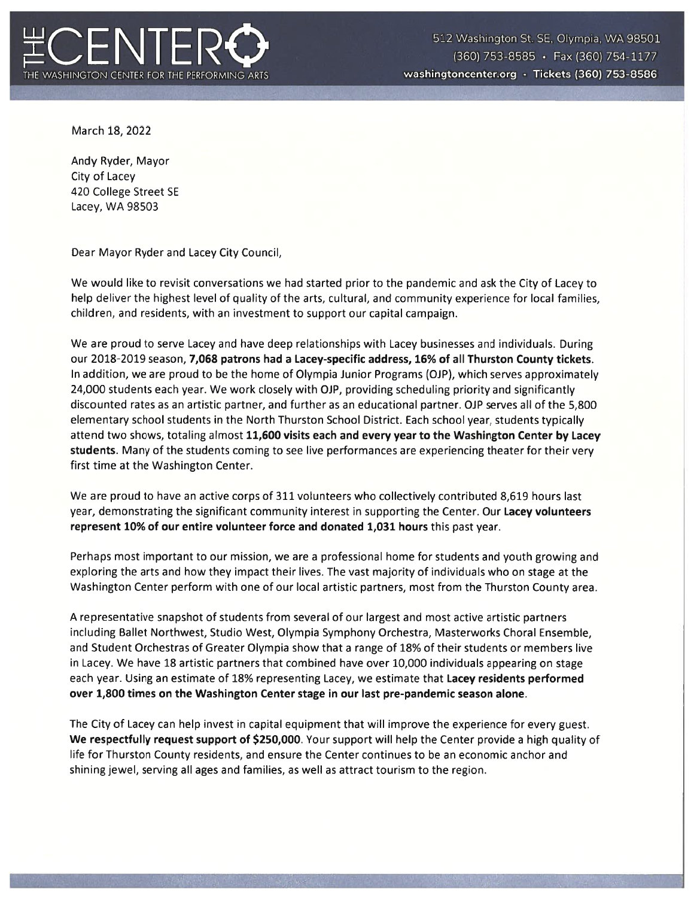

March 18, 2022

Andy Ryder, Mayor City of Lacey 420 College Street SE Lacey, WA 98503

Dear Mayor Ryder and Lacey City Council,

We would like to revisit conversations we had started prior to the pandemic and ask the City of Lacey to help deliver the highest level of quality of the arts, cultural, and community experience for local families, children, and residents, with an investment to support our capital campaign.

We are proud to serve Lacey and have deep relationships with Lacey businesses and individuals. During our 2018-2019 season, 7,068 patrons had a Lacey-specific address, 16% of all Thurston County tickets. In addition, we are proud to be the home of Olympia Junior Programs (OJP), which serves approximately 24,000 students each year. We work closely with OJP, providing scheduling priority and significantly discounted rates as an artistic partner, and further as an educational partner. OJP serves all of the 5,800 elementary school students in the North Thurston School District. Each school year, students typically attend two shows, totaling almost 11,600 visits each and every year to the Washington Center by Lacey students. Many of the students coming to see live performances are experiencing theater for their very first time at the Washington Center.

We are proud to have an active corps of 311 volunteers who collectively contributed 8,619 hours last year, demonstrating the significant community interest in supporting the Center. Our Lacey volunteers represent 10% of our entire volunteer force and donated 1,031 hours this past year.

Perhaps most important to our mission, we are a professional home for students and youth growing and exploring the arts and how they impact their lives. The vast majority of individuals who on stage at the Washington Center perform with one of our local artistic partners, most from the Thurston County area.

A representative snapshot of students from several of our largest and most active artistic partners including Ballet Northwest, Studio West, Olympia Symphony Orchestra, Masterworks Choral Ensemble, and Student Orchestras of Greater Olympia show that a range of 18% of their students or members live in Lacey. We have 18 artistic partners that combined have over 10,000 individuals appearing on stage each year. Using an estimate of 18% representing Lacey, we estimate that Lacey residents performed over 1,800 times on the Washington Center stage in our last pre-pandemic season alone.

The City of Lacey can help invest in capital equipment that will improve the experience for every guest. We respectfully request support of \$250,000. Your support will help the Center provide a high quality of life for Thurston County residents, and ensure the Center continues to be an economic anchor and shining jewel, serving all ages and families, as well as attract tourism to the region.